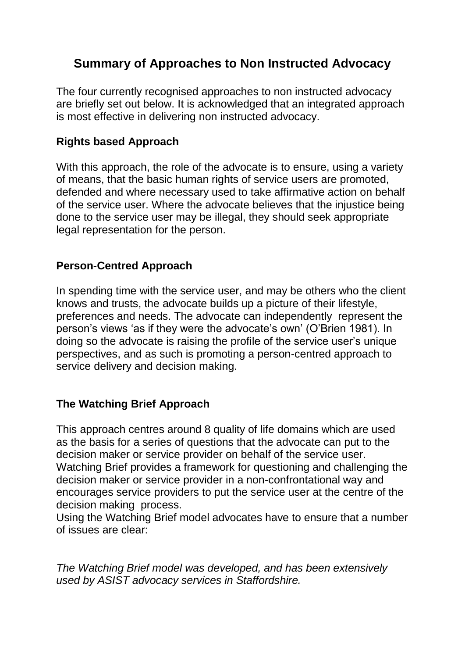# **Summary of Approaches to Non Instructed Advocacy**

The four currently recognised approaches to non instructed advocacy are briefly set out below. It is acknowledged that an integrated approach is most effective in delivering non instructed advocacy.

## **Rights based Approach**

With this approach, the role of the advocate is to ensure, using a variety of means, that the basic human rights of service users are promoted, defended and where necessary used to take affirmative action on behalf of the service user. Where the advocate believes that the injustice being done to the service user may be illegal, they should seek appropriate legal representation for the person.

## **Person-Centred Approach**

In spending time with the service user, and may be others who the client knows and trusts, the advocate builds up a picture of their lifestyle, preferences and needs. The advocate can independently represent the person's views 'as if they were the advocate's own' (O'Brien 1981). In doing so the advocate is raising the profile of the service user's unique perspectives, and as such is promoting a person-centred approach to service delivery and decision making.

### **The Watching Brief Approach**

This approach centres around 8 quality of life domains which are used as the basis for a series of questions that the advocate can put to the decision maker or service provider on behalf of the service user. Watching Brief provides a framework for questioning and challenging the decision maker or service provider in a non-confrontational way and encourages service providers to put the service user at the centre of the decision making process.

Using the Watching Brief model advocates have to ensure that a number of issues are clear:

*The Watching Brief model was developed, and has been extensively used by ASIST advocacy services in Staffordshire.*